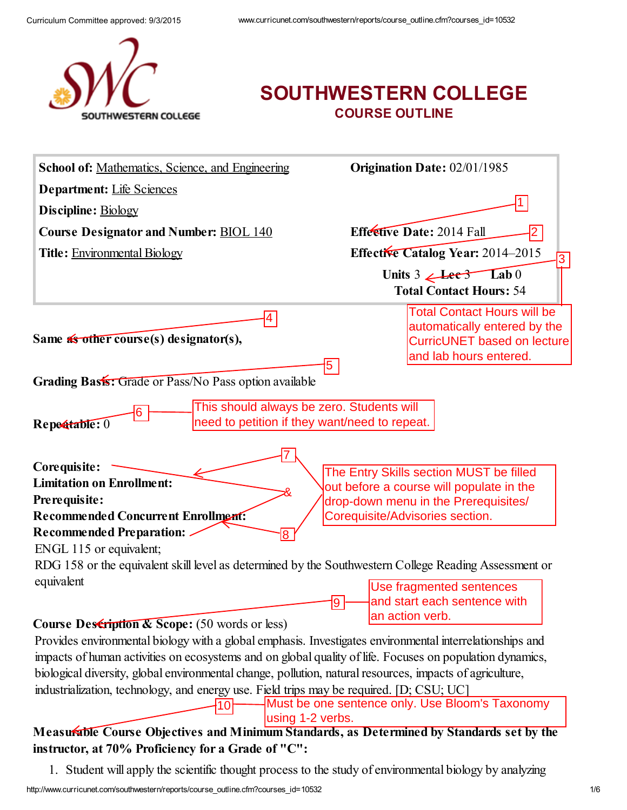

## SOUTHWESTERN COLLEGE COURSE OUTLINE

| School of: Mathematics, Science, and Engineering                                                                 | <b>Origination Date: 02/01/1985</b>                                                                                                                            |
|------------------------------------------------------------------------------------------------------------------|----------------------------------------------------------------------------------------------------------------------------------------------------------------|
| <b>Department:</b> Life Sciences                                                                                 |                                                                                                                                                                |
| Discipline: Biology                                                                                              |                                                                                                                                                                |
| <b>Course Designator and Number: BIOL 140</b>                                                                    | Effective Date: 2014 Fall                                                                                                                                      |
| <b>Title: Environmental Biology</b>                                                                              | Effective Catalog Year: 2014-2015<br>3                                                                                                                         |
|                                                                                                                  | Units $3 \angle \text{Lee} 3$ Lab 0                                                                                                                            |
|                                                                                                                  | <b>Total Contact Hours: 54</b>                                                                                                                                 |
| $\vert 4 \vert$<br>Same $\frac{2}{\sqrt{3}}$ other course(s) designator(s),                                      | <b>Total Contact Hours will be</b><br>automatically entered by the<br>CurricUNET based on lecture<br>and lab hours entered.                                    |
| Grading Basis: Grade or Pass/No Pass option available                                                            | 5                                                                                                                                                              |
| This should always be zero. Students will<br>6<br>need to petition if they want/need to repeat.<br>Repeatable: 0 |                                                                                                                                                                |
| Corequisite:<br><b>Limitation on Enrollment:</b><br>Prerequisite:<br><b>Recommended Concurrent Enrollment:</b>   | The Entry Skills section MUST be filled<br>out before a course will populate in the<br>drop-down menu in the Prerequisites/<br>Corequisite/Advisories section. |
| <b>Recommended Preparation:</b><br>ENGL 115 or equivalent;                                                       |                                                                                                                                                                |
| RDG 158 or the equivalent skill level as determined by the Southwestern College Reading Assessment or            |                                                                                                                                                                |
| equivalent                                                                                                       | Use fragmented sentences<br>and start each sentence with<br>9<br>an action verb.                                                                               |
| $Ccor$ $D0$ $C1$ $C2$ $C3$ $C4$ $C5$ $C6$ $C7$ $C8$ $C9$ $C1$                                                    |                                                                                                                                                                |

#### Course Description & Scope: (50 words or less)

Provides environmental biology with a global emphasis. Investigates environmental interrelationships and impacts of human activities on ecosystems and on global quality of life. Focuses on population dynamics, biological diversity, global environmental change, pollution, natural resources, impacts of agriculture,

industrialization, technology, and energy use. Field trips may be required. [D; CSU; UC]

l10ŀ

Must be one sentence only. Use Bloom's Taxonomy using 1-2 verbs.

#### Measurable Course Objectives and Minimum Standards, as Determined by Standards set by the instructor, at 70% Proficiency for a Grade of "C":

1. Student will apply the scientific thought process to the study of environmental biology by analyzing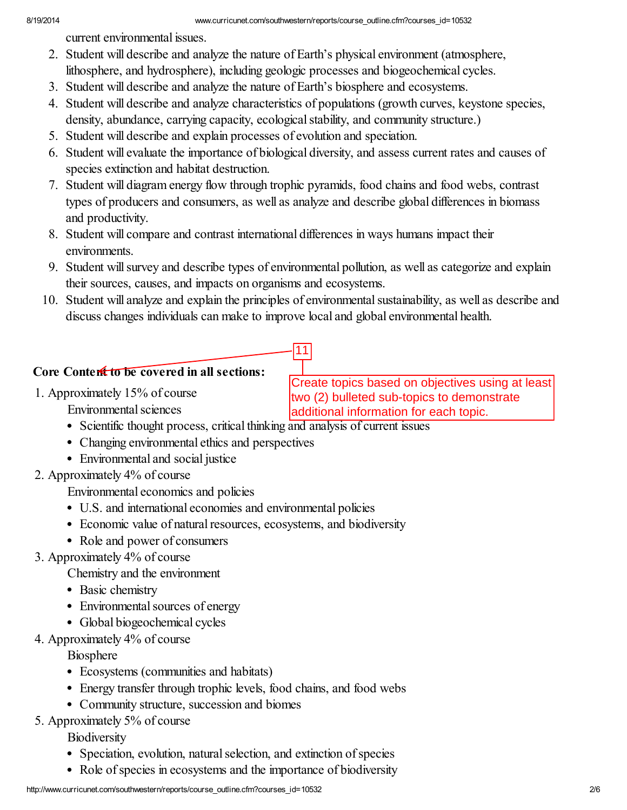current environmental issues.

- 2. Student will describe and analyze the nature of Earth's physical environment (atmosphere, lithosphere, and hydrosphere), including geologic processes and biogeochemical cycles.
- 3. Student will describe and analyze the nature of Earth's biosphere and ecosystems.
- 4. Student will describe and analyze characteristics of populations (growth curves, keystone species, density, abundance, carrying capacity, ecological stability, and community structure.)
- 5. Student will describe and explain processes of evolution and speciation.
- 6. Student will evaluate the importance of biological diversity, and assess current rates and causes of species extinction and habitat destruction.
- 7. Student will diagram energy flow through trophic pyramids, food chains and food webs, contrast types of producers and consumers, as well as analyze and describe global differences in biomass and productivity.
- 8. Student will compare and contrast international differences in ways humans impact their environments.
- 9. Student will survey and describe types of environmental pollution, as well as categorize and explain their sources, causes, and impacts on organisms and ecosystems.
- 10. Student will analyze and explain the principles of environmental sustainability, as well as describe and discuss changes individuals can make to improve local and global environmental health.

11

#### Core Content to be covered in all sections:

1. Approximately 15% of course Environmental sciences

Create topics based on objectives using at least two (2) bulleted sub-topics to demonstrate additional information for each topic.

- Scientific thought process, critical thinking and analysis of current issues
- Changing environmental ethics and perspectives
- Environmental and social justice
- 2. Approximately 4% of course

Environmental economics and policies

- U.S. and international economies and environmental policies
- Economic value of natural resources, ecosystems, and biodiversity
- Role and power of consumers
- 3. Approximately 4% of course

Chemistry and the environment

- Basic chemistry
- Environmental sources of energy
- Global biogeochemical cycles
- 4. Approximately 4% of course

**Biosphere** 

- Ecosystems (communities and habitats)
- Energy transfer through trophic levels, food chains, and food webs
- Community structure, succession and biomes
- 5. Approximately 5% of course

**Biodiversity** 

- Speciation, evolution, natural selection, and extinction of species
- Role of species in ecosystems and the importance of biodiversity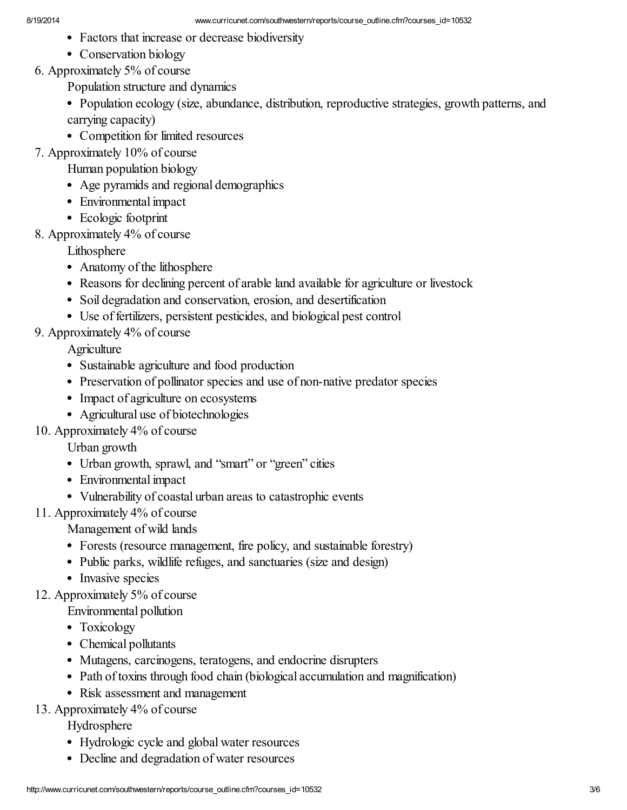- Factors that increase or decrease biodiversity
- Conservation biology
- 6. Approximately 5% of course

Population structure and dynamics

- Population ecology (size, abundance, distribution, reproductive strategies, growth patterns, and carrying capacity)
- Competition for limited resources
- 7. Approximately 10% of course
	- Human population biology
	- Age pyramids and regional demographics
	- Environmental impact
	- Ecologic footprint
- 8. Approximately 4% of course

Lithosphere

- Anatomy of the lithosphere
- Reasons for declining percent of arable land available for agriculture or livestock
- Soil degradation and conservation, erosion, and desertification
- Use of fertilizers, persistent pesticides, and biological pest control
- 9. Approximately 4% of course

**Agriculture** 

- Sustainable agriculture and food production
- Preservation of pollinator species and use of non-native predator species
- Impact of agriculture on ecosystems
- Agricultural use of biotechnologies
- 10. Approximately 4% of course

Urban growth

- Urban growth, sprawl, and "smart" or "green" cities
- Environmental impact
- Vulnerability of coastal urban areas to catastrophic events
- 11. Approximately 4% of course

Management of wild lands

- Forests (resource management, fire policy, and sustainable forestry)
- Public parks, wildlife refuges, and sanctuaries (size and design)
- Invasive species
- 12. Approximately 5% of course

Environmental pollution

- Toxicology
- Chemical pollutants
- Mutagens, carcinogens, teratogens, and endocrine disrupters
- Path of toxins through food chain (biological accumulation and magnification)
- Risk assessment and management
- 13. Approximately 4% of course

Hydrosphere

- Hydrologic cycle and global water resources
- Decline and degradation of water resources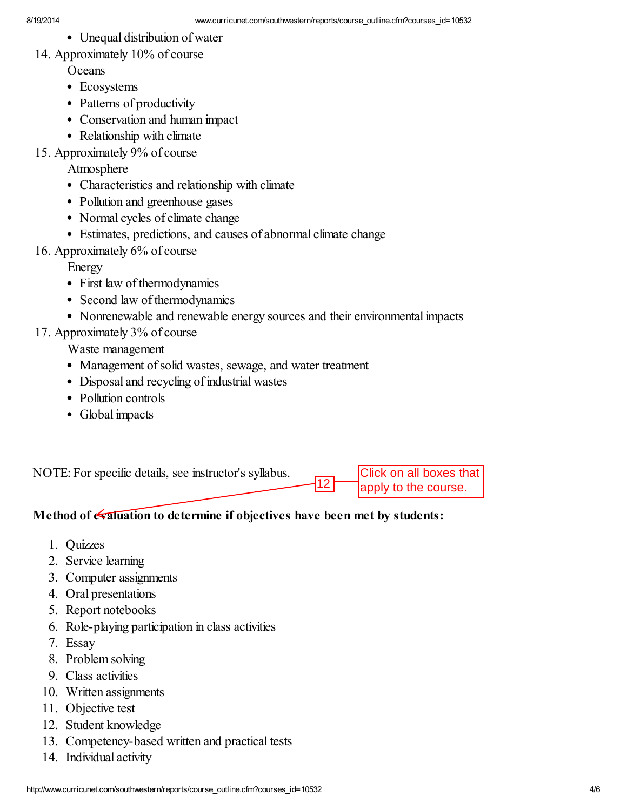- Unequal distribution of water
- 14. Approximately 10% of course

**Oceans** 

- Ecosystems
- Patterns of productivity
- Conservation and human impact
- Relationship with climate
- 15. Approximately 9% of course

#### Atmosphere

- Characteristics and relationship with climate
- Pollution and greenhouse gases
- Normal cycles of climate change
- Estimates, predictions, and causes of abnormal climate change
- 16. Approximately 6% of course

Energy

- First law of thermodynamics
- Second law of thermodynamics
- Nonrenewable and renewable energy sources and their environmental impacts

## 17. Approximately 3% of course

Waste management

- Management of solid wastes, sewage, and water treatment
- Disposal and recycling of industrial wastes
- Pollution controls
- Global impacts

NOTE: For specific details, see instructor's syllabus.

Click on all boxes that apply to the course.

## Method of **evaluation** to determine if objectives have been met by students:

12

- 1. Quizzes
- 2. Service learning
- 3. Computer assignments
- 4. Oral presentations
- 5. Report notebooks
- 6. Role-playing participation in class activities
- 7. Essay
- 8. Problem solving
- 9. Class activities
- 10. Written assignments
- 11. Objective test
- 12. Student knowledge
- 13. Competency-based written and practical tests
- 14. Individual activity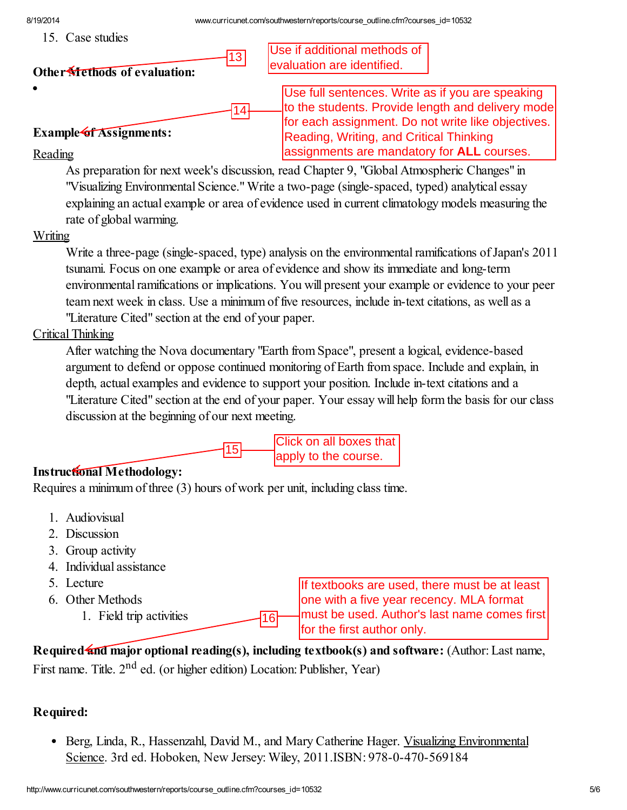15. Case studies

Use if additional methods of evaluation are identified.

Use full sentences. Write as if you are speaking to the students. Provide length and delivery mode for each assignment. Do not write like objectives.

assignments are mandatory for **ALL** courses.

Reading, Writing, and Critical Thinking

#### Other **Methods** of evaluation:

#### Example of Assignments:

Reading

As preparation for next week's discussion, read Chapter 9, "Global Atmospheric Changes" in "Visualizing Environmental Science."Write a two-page (single-spaced, typed) analytical essay explaining an actual example or area of evidence used in current climatology models measuring the rate of global warming.

 $\frac{13}{14}$ 

#### Writing

Write a three-page (single-spaced, type) analysis on the environmental ramifications of Japan's 2011 tsunami. Focus on one example or area of evidence and show its immediate and long-term environmental ramifications or implications. You will present your example or evidence to your peer team next week in class. Use a minimum of five resources, include in-text citations, as well as a "Literature Cited" section at the end of your paper.

#### Critical Thinking

After watching the Nova documentary "Earth from Space", present a logical, evidence-based argument to defend or oppose continued monitoring of Earth from space. Include and explain, in depth, actual examples and evidence to support your position. Include in-text citations and a "Literature Cited" section at the end of your paper. Your essay will help form the basis for our class discussion at the beginning of our next meeting.



#### Instructional Methodology:

Requires a minimum of three (3) hours of work per unit, including class time.

- 1. Audiovisual
- 2. Discussion
- 3. Group activity
- 4. Individual assistance
- 5. Lecture
- 6. Other Methods
	- 1. Field trip activities

If textbooks are used, there must be at least one with a five year recency. MLA format must be used. Author's last name comes first for the first author only.

Required and major optional reading(s), including textbook(s) and software: (Author: Last name,

16

First name. Title. 2<sup>nd</sup> ed. (or higher edition) Location: Publisher, Year)

#### Required:

• Berg, Linda, R., Hassenzahl, David M., and Mary Catherine Hager. Visualizing Environmental Science. 3rd ed. Hoboken, New Jersey: Wiley, 2011.ISBN: 978-0-470-569184